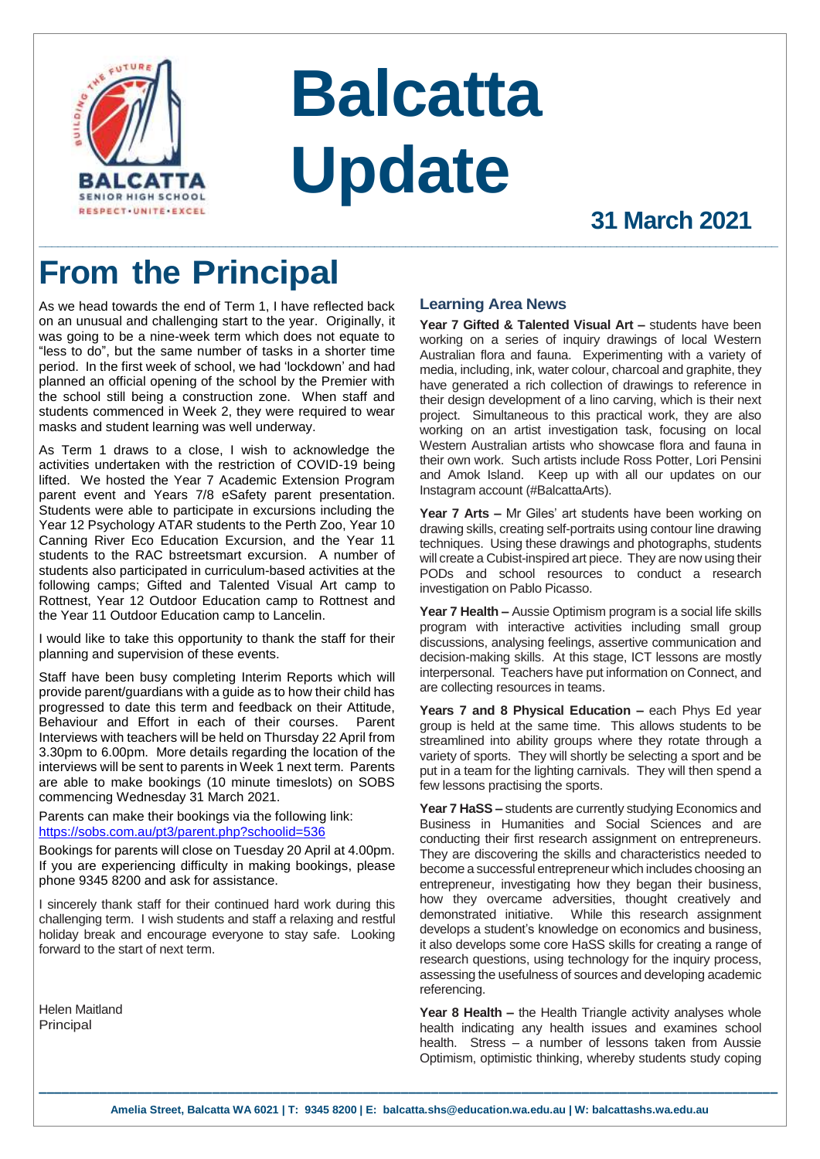

# **Balcatta Update**

**\_\_\_\_\_\_\_\_\_\_\_\_\_\_\_\_\_\_\_\_\_\_\_\_\_\_\_\_\_\_\_\_\_\_\_\_\_\_\_\_\_\_\_\_\_\_\_\_\_\_\_\_\_\_\_\_\_\_\_\_\_\_\_\_\_\_\_\_\_\_\_\_\_\_\_\_\_\_\_\_\_\_\_\_\_\_\_\_\_\_\_\_\_\_\_\_\_\_\_\_\_\_\_\_\_\_\_\_\_\_\_\_\_\_\_\_\_\_\_**

## **31 March 2021**

# **From the Principal**

As we head towards the end of Term 1, I have reflected back on an unusual and challenging start to the year. Originally, it was going to be a nine-week term which does not equate to "less to do", but the same number of tasks in a shorter time period. In the first week of school, we had 'lockdown' and had planned an official opening of the school by the Premier with the school still being a construction zone. When staff and students commenced in Week 2, they were required to wear masks and student learning was well underway.

As Term 1 draws to a close, I wish to acknowledge the activities undertaken with the restriction of COVID-19 being lifted. We hosted the Year 7 Academic Extension Program parent event and Years 7/8 eSafety parent presentation. Students were able to participate in excursions including the Year 12 Psychology ATAR students to the Perth Zoo, Year 10 Canning River Eco Education Excursion, and the Year 11 students to the RAC bstreetsmart excursion. A number of students also participated in curriculum-based activities at the following camps; Gifted and Talented Visual Art camp to Rottnest, Year 12 Outdoor Education camp to Rottnest and the Year 11 Outdoor Education camp to Lancelin.

I would like to take this opportunity to thank the staff for their planning and supervision of these events.

Staff have been busy completing Interim Reports which will provide parent/guardians with a guide as to how their child has progressed to date this term and feedback on their Attitude, Behaviour and Effort in each of their courses. Parent Interviews with teachers will be held on Thursday 22 April from 3.30pm to 6.00pm. More details regarding the location of the interviews will be sent to parents in Week 1 next term. Parents are able to make bookings (10 minute timeslots) on SOBS commencing Wednesday 31 March 2021.

Parents can make their bookings via the following link: <https://sobs.com.au/pt3/parent.php?schoolid=536>

Bookings for parents will close on Tuesday 20 April at 4.00pm. If you are experiencing difficulty in making bookings, please phone 9345 8200 and ask for assistance.

I sincerely thank staff for their continued hard work during this challenging term. I wish students and staff a relaxing and restful holiday break and encourage everyone to stay safe. Looking forward to the start of next term.

Helen Maitland Principal

#### **Learning Area News**

**Year 7 Gifted & Talented Visual Art –** students have been working on a series of inquiry drawings of local Western Australian flora and fauna. Experimenting with a variety of media, including, ink, water colour, charcoal and graphite, they have generated a rich collection of drawings to reference in their design development of a lino carving, which is their next project. Simultaneous to this practical work, they are also working on an artist investigation task, focusing on local Western Australian artists who showcase flora and fauna in their own work. Such artists include Ross Potter, Lori Pensini and Amok Island. Keep up with all our updates on our Instagram account (#BalcattaArts).

**Year 7 Arts –** Mr Giles' art students have been working on drawing skills, creating self-portraits using contour line drawing techniques. Using these drawings and photographs, students will create a Cubist-inspired art piece. They are now using their PODs and school resources to conduct a research investigation on Pablo Picasso.

**Year 7 Health –** Aussie Optimism program is a social life skills program with interactive activities including small group discussions, analysing feelings, assertive communication and decision-making skills. At this stage, ICT lessons are mostly interpersonal. Teachers have put information on Connect, and are collecting resources in teams.

**Years 7 and 8 Physical Education –** each Phys Ed year group is held at the same time. This allows students to be streamlined into ability groups where they rotate through a variety of sports. They will shortly be selecting a sport and be put in a team for the lighting carnivals. They will then spend a few lessons practising the sports.

**Year 7 HaSS –** students are currently studying Economics and Business in Humanities and Social Sciences and are conducting their first research assignment on entrepreneurs. They are discovering the skills and characteristics needed to become a successful entrepreneur which includes choosing an entrepreneur, investigating how they began their business, how they overcame adversities, thought creatively and demonstrated initiative. While this research assignment develops a student's knowledge on economics and business, it also develops some core HaSS skills for creating a range of research questions, using technology for the inquiry process, assessing the usefulness of sources and developing academic referencing.

Year 8 Health – the Health Triangle activity analyses whole health indicating any health issues and examines school health. Stress – a number of lessons taken from Aussie Optimism, optimistic thinking, whereby students study coping